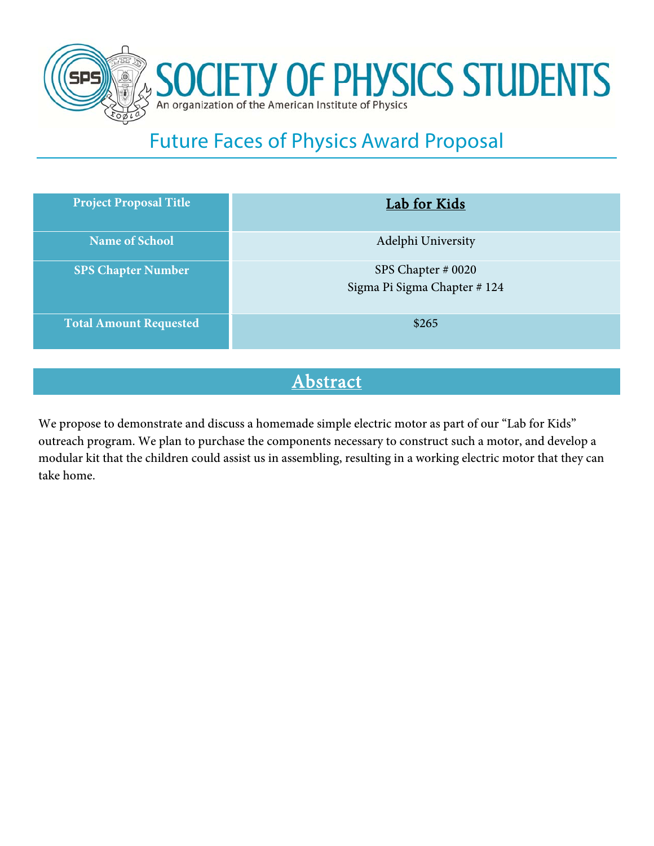

# Future Faces of Physics Award Proposal

| <b>Project Proposal Title</b> | <b>Lab for Kids</b>                               |
|-------------------------------|---------------------------------------------------|
| <b>Name of School</b>         | Adelphi University                                |
| <b>SPS Chapter Number</b>     | SPS Chapter # 0020<br>Sigma Pi Sigma Chapter #124 |
| <b>Total Amount Requested</b> | \$265                                             |

### **Abstract**

We propose to demonstrate and discuss a homemade simple electric motor as part of our "Lab for Kids" outreach program. We plan to purchase the components necessary to construct such a motor, and develop a modular kit that the children could assist us in assembling, resulting in a working electric motor that they can take home.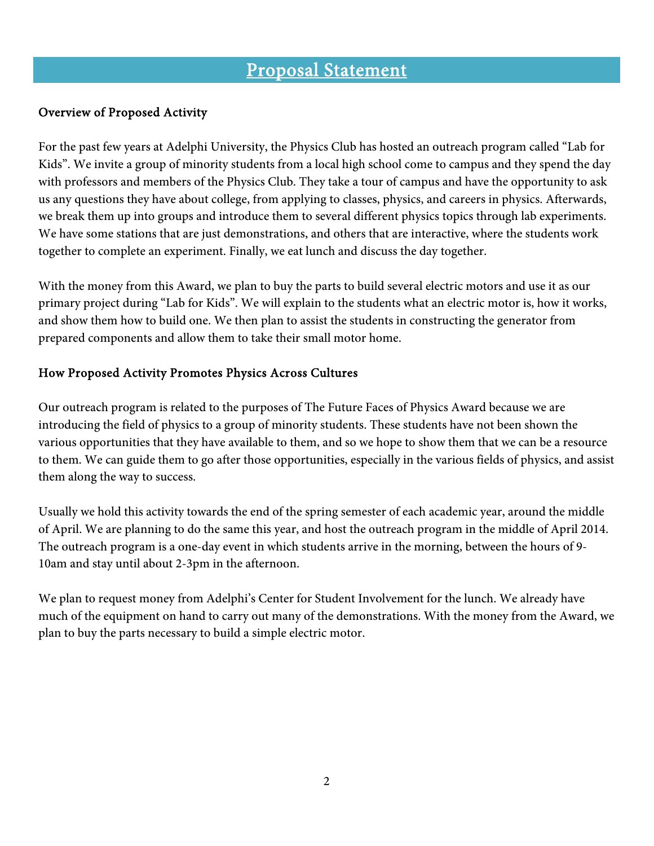## Proposal Statement

#### Overview of Proposed Activity

For the past few years at Adelphi University, the Physics Club has hosted an outreach program called "Lab for Kids". We invite a group of minority students from a local high school come to campus and they spend the day with professors and members of the Physics Club. They take a tour of campus and have the opportunity to ask us any questions they have about college, from applying to classes, physics, and careers in physics. Afterwards, we break them up into groups and introduce them to several different physics topics through lab experiments. We have some stations that are just demonstrations, and others that are interactive, where the students work together to complete an experiment. Finally, we eat lunch and discuss the day together.

With the money from this Award, we plan to buy the parts to build several electric motors and use it as our primary project during "Lab for Kids". We will explain to the students what an electric motor is, how it works, and show them how to build one. We then plan to assist the students in constructing the generator from prepared components and allow them to take their small motor home.

#### How Proposed Activity Promotes Physics Across Cultures

Our outreach program is related to the purposes of The Future Faces of Physics Award because we are introducing the field of physics to a group of minority students. These students have not been shown the various opportunities that they have available to them, and so we hope to show them that we can be a resource to them. We can guide them to go after those opportunities, especially in the various fields of physics, and assist them along the way to success.

Usually we hold this activity towards the end of the spring semester of each academic year, around the middle of April. We are planning to do the same this year, and host the outreach program in the middle of April 2014. The outreach program is a one-day event in which students arrive in the morning, between the hours of 9- 10am and stay until about 2-3pm in the afternoon.

We plan to request money from Adelphi's Center for Student Involvement for the lunch. We already have much of the equipment on hand to carry out many of the demonstrations. With the money from the Award, we plan to buy the parts necessary to build a simple electric motor.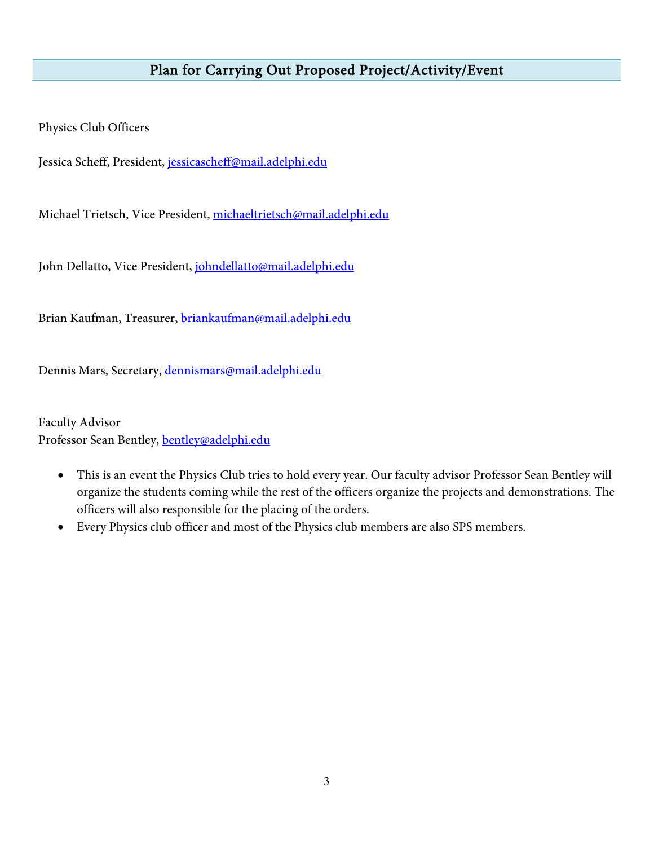#### Plan for Carrying Out Proposed Project/Activity/Event

Physics Club Officers

Jessica Scheff, President, jessicascheff@mail.adelphi.edu

Michael Trietsch, Vice President, michaeltrietsch@mail.adelphi.edu

John Dellatto, Vice President, johndellatto@mail.adelphi.edu

Brian Kaufman, Treasurer, briankaufman@mail.adelphi.edu

Dennis Mars, Secretary, dennismars@mail.adelphi.edu

Faculty Advisor Professor Sean Bentley, bentley@adelphi.edu

- This is an event the Physics Club tries to hold every year. Our faculty advisor Professor Sean Bentley will organize the students coming while the rest of the officers organize the projects and demonstrations. The officers will also responsible for the placing of the orders.
- Every Physics club officer and most of the Physics club members are also SPS members.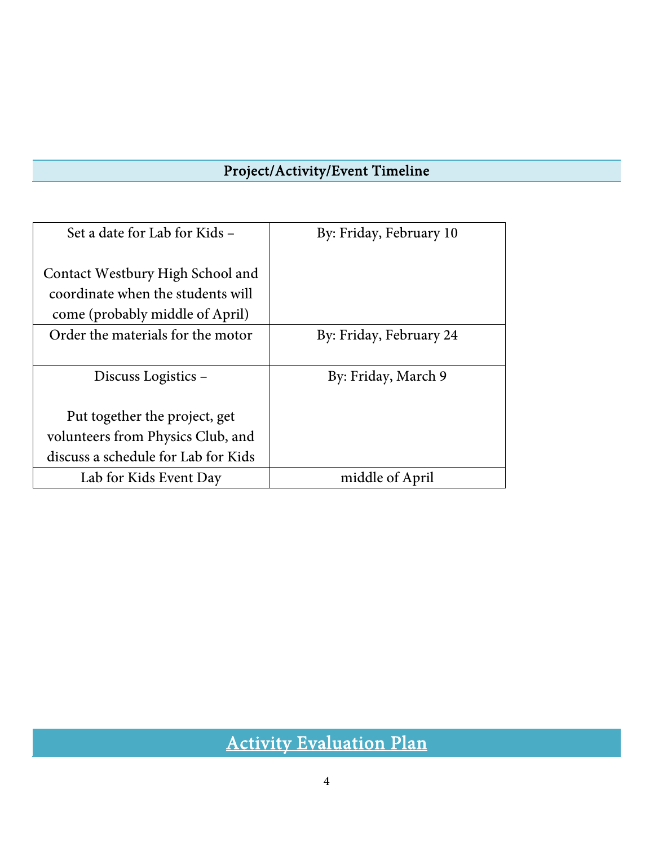## Project/Activity/Event Timeline

| Set a date for Lab for Kids –       | By: Friday, February 10 |  |  |
|-------------------------------------|-------------------------|--|--|
| Contact Westbury High School and    |                         |  |  |
| coordinate when the students will   |                         |  |  |
| come (probably middle of April)     |                         |  |  |
| Order the materials for the motor   | By: Friday, February 24 |  |  |
|                                     |                         |  |  |
| Discuss Logistics –                 | By: Friday, March 9     |  |  |
|                                     |                         |  |  |
| Put together the project, get       |                         |  |  |
| volunteers from Physics Club, and   |                         |  |  |
| discuss a schedule for Lab for Kids |                         |  |  |
| Lab for Kids Event Day              | middle of April         |  |  |

Activity Evaluation Plan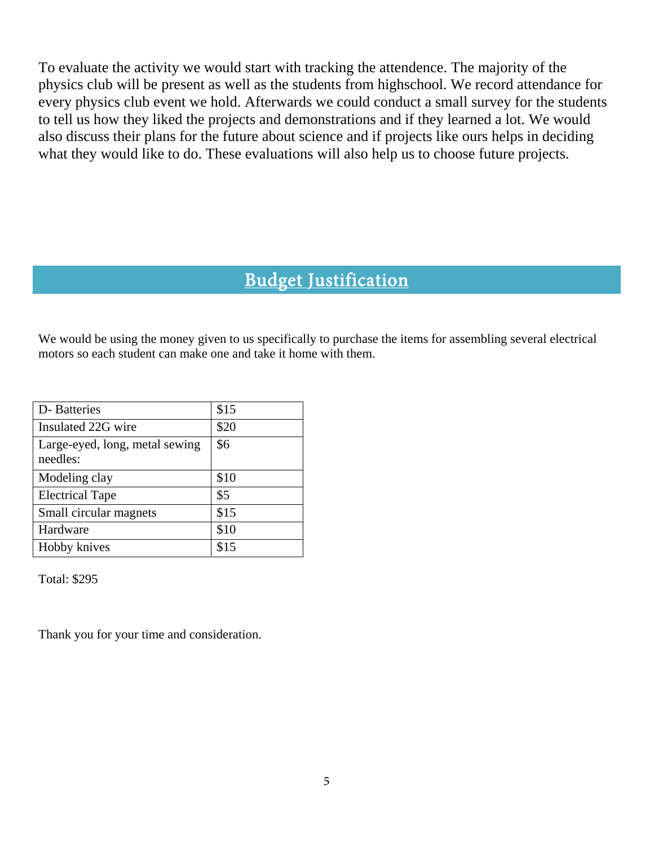To evaluate the activity we would start with tracking the attendence. The majority of the physics club will be present as well as the students from highschool. We record attendance for every physics club event we hold. Afterwards we could conduct a small survey for the students to tell us how they liked the projects and demonstrations and if they learned a lot. We would also discuss their plans for the future about science and if projects like ours helps in deciding what they would like to do. These evaluations will also help us to choose future projects.

## Budget Justification

We would be using the money given to us specifically to purchase the items for assembling several electrical motors so each student can make one and take it home with them.

| D-Batteries                                | \$15 |
|--------------------------------------------|------|
|                                            |      |
| Insulated 22G wire                         | \$20 |
| Large-eyed, long, metal sewing<br>needles: | \$6  |
| Modeling clay                              | \$10 |
| <b>Electrical Tape</b>                     | \$5  |
| Small circular magnets                     | \$15 |
| Hardware                                   | \$10 |
| Hobby knives                               |      |

Total: \$295

Thank you for your time and consideration.